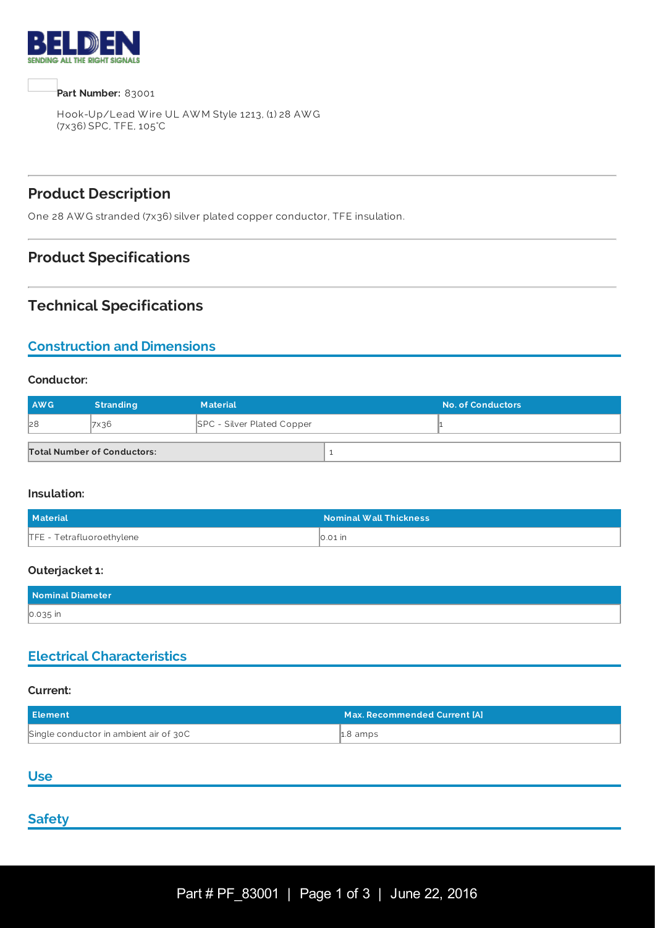

**Part Number:** 83001

Hook-Up/Lead W ire UL AW M Style 1213, (1) 28 AW G (7x36) SPC, TFE, 105°C

# **Product Description**

One 28 AW G stranded (7x36) silver plated copper conductor, TFE insulation.

### **Product Specifications**

### **Technical Specifications**

## **Construction and Dimensions**

#### **Conductor:**

| <b>AWG</b> | <b>Stranding</b>                   | <b>Material</b>                   | <b>No. of Conductors</b> |
|------------|------------------------------------|-----------------------------------|--------------------------|
| 28         | 7x36                               | <b>SPC - Silver Plated Copper</b> |                          |
|            | <b>Total Number of Conductors:</b> |                                   |                          |

#### **Insulation:**

| <b>Material</b>           | <b>Nominal Wall Thickness</b> |
|---------------------------|-------------------------------|
| TFE - Tetrafluoroethylene | $\vert$ 0.01 $\vert$ n        |

#### **Outerjacket 1:**

| Nominal Diameter |  |
|------------------|--|
| 0.035 in         |  |

### **Electrical Characteristics**

#### **Current:**

| Element                                | Max. Recommended Current [A] \ |
|----------------------------------------|--------------------------------|
| Single conductor in ambient air of 30C | $\uparrow$ 2.8 amps            |

#### **Use**

### **Safety**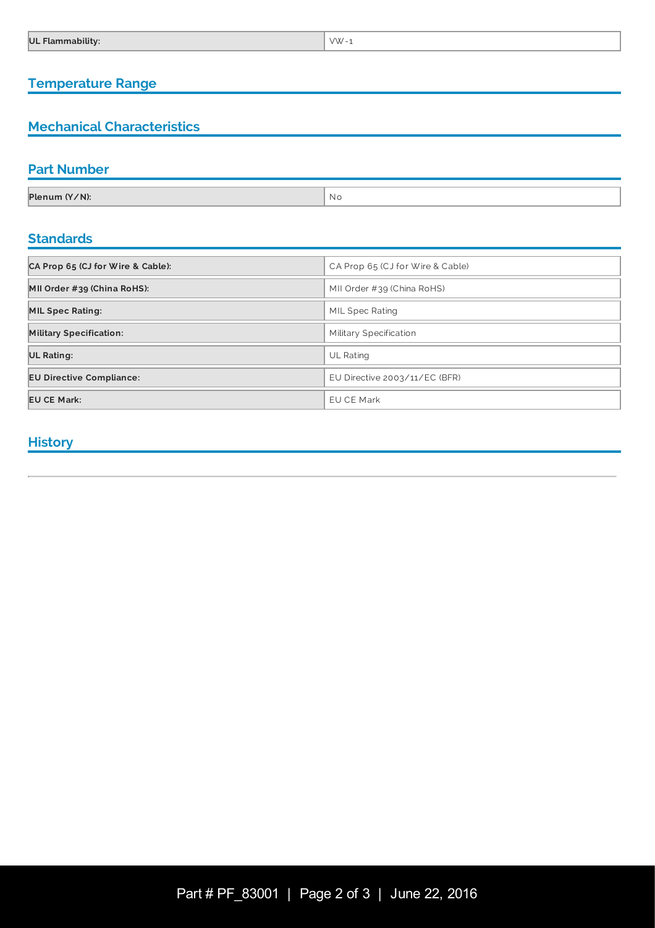### **Temperature Range**

## **Mechanical Characteristics**

## **Part Number**

| Plenum (Y/N): | NI.<br>NV. |
|---------------|------------|

## **Standards**

| CA Prop 65 (CJ for Wire & Cable): | CA Prop 65 (CJ for Wire & Cable) |
|-----------------------------------|----------------------------------|
| MII Order #39 (China RoHS):       | MII Order $\#39$ (China RoHS)    |
| <b>MIL Spec Rating:</b>           | MIL Spec Rating                  |
| <b>Military Specification:</b>    | Military Specification           |
| <b>UL Rating:</b>                 | UL Rating                        |
| <b>EU Directive Compliance:</b>   | EU Directive $2003/11/EC$ (BFR)  |
| <b>EU CE Mark:</b>                | EU CE Mark                       |

### **History**